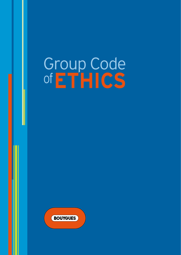# Group Code of**EthiCS**

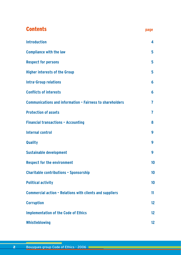# **Contents page Introduction 4 Compliance with the law 5 Respect for persons 5 Higher interests of the Group 5 Intra-Group relations 6 Conflicts of interests 6 Communications and information – Fairness to shareholders 7 Protection** of assets **7 Financial transactions – Accounting 8 Internal control 9 Quality 9 Sustainable** development **9 Respect for the environment 10 Charitable contributions – Sponsorship 10 Political activity 10 Commercial action – Relations with clients and suppliers 11 Corruption 12**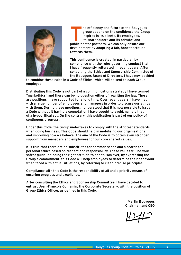

he efficiency and future of the Bouygues group depend on the confidence the Group inspires in its clients, its employees, its shareholders and its private- and public-sector partners. We can only ensure our development by adopting a fair, honest attitude towards them.

This confidence is created, in particular, by compliance with the rules governing conduct that I have frequently reiterated in recent years. After consulting the Ethics and Sponsorship Committee of the Bouygues Board of Directors, I have now decided

to combine these rules in a Code of Ethics, which will be sent to each Group employee.

Distributing this Code is not part of a communications strategy I have termed "markethics" and there can be no question either of rewriting the law. These are positions I have supported for a long time. Over recent years, I have met with a large number of employees and managers in order to discuss our ethics with them. During these meetings, I understood that it is now possible to issue a Code without it having a connotation I have sought to avoid, namely that of a hypocritical act. On the contrary, this publication is part of our policy of continuous progress.

Under this Code, the Group undertakes to comply with the strictest standards when doing business. This Code should help in mobilising our organisations and improving how we behave. The aim of the Code is to obtain even stronger support from managers and employees for our core shared values.

It is true that there are no substitutes for common sense and a search for personal ethics based on respect and responsibility. These values will be your safest guide in finding the right attitude to adopt. However, by expressing the Group's commitment, this Code will help employees to determine their behaviour when faced with actual situations, by referring to clear, precise principles.

Compliance with this Code is the responsibility of all and a priority means of ensuring progress and excellence.

After consulting the Ethics and Sponsorship Committee, I have decided to entrust Jean-François Guillemin, the Corporate Secretary, with the position of Group Ethics Officer, as defined in this Code.

> Martin Bouygues Chairman and CEO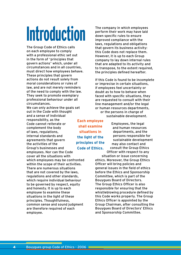# **Introduction**

The Group Code of Ethics calls on each employee to comply with a professional ethic set out in the form of "principles that govern actions" which, under all circumstances and in all countries, must direct how employees behave. These principles that govern actions do not result solely from moral considerations or rules of law, and are not merely reminders of the need to comply with the law. They seek to promote exemplary professional behaviour under all circumstances.

We can only achieve the goals set out in the Code with thought and a sense of individual responsibility, as the Code cannot reiterate or complement the body of laws, regulations, internal standards and agreements that govern the activities of the Group's businesses and employees. Nor can the Code cover all the situations with which employees may be confronted within the scope of their activities. There are numerous situations that are not covered by the laws, regulations and other standards, which require individual behaviour to be governed by respect, equity and honesty. It is up to each employee to examine these situations in the light of these principles. Thoughtfulness, common sense and sound judgment are therefore required of each employee.

The company in which employees perform their work may have laid down specific rules to ensure improved compliance with the laws, regulations and obligations that govern its business activity: this Code does not replace them. However, it is up to each Group company to lay down internal rules that are adapted to its activity and to transpose, to the extent required, the principles defined hereafter.

If this Code is found to be incomplete or imprecise in certain situations, if employees feel uncertainty or doubt as to how to behave when faced with specific situations, they are requested to consult with their line management and/or the legal or human resources departments, or the persons in charge of

sustainable development.

**Each employee shall examine situations in the light of the principles of the Code of Ethics.**

Employees, the legal and human resources departments, and the persons responsible for sustainable development may also contact and consult the Group Ethics Officer with respect to any

situation or issue concerning ethics. Moreover, the Group Ethics Officer will bring policies and general issues in the field of ethics before the Ethics and Sponsorship Committee, which is part of the Bouygues Board of Directors. The Group Ethics Officer is also responsible for ensuring that the whistleblowing procedure defined by this Code works properly. The Group Ethics Officer is appointed by the Group Chairman, after consulting the Bouygues Board of Directors' Ethics and Sponsorship Committee.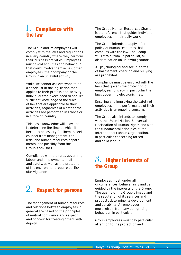## 1. Compliance with the law

The Group and its employees will comply with the laws and regulations in every country where they perform their business activities. Employees must avoid activities and behaviour that could involve themselves, other employees, their company or the Group in an unlawful activity.

While we cannot ask everyone to be a specialist in the legislation that applies to their professional activity, individual employees need to acquire sufficient knowledge of the rules of law that are applicable to their activities, regardless of whether the activities are performed in France or in a foreign country.

This basic knowledge will allow them to determine the time at which it becomes necessary for them to seek counsel from management, the legal and human resources departments, and possibly from the Group's advisors.

Compliance with the rules governing labour and employment, health and safety, as well as the protection of the environment require particular vigilance.

# $\overline{2}.$  Respect for persons

The management of human resources and relations between employees in general are based on the principles of mutual confidence and respect and concern for treating others with dignity.

The Group Human Resources Charter is the reference that guides individual employees in their daily work.

The Group intends to apply a fair policy of human resources that complies with the law. The Group will refrain from, in particular, all discrimination on unlawful grounds.

All psychological and sexual forms of harassment, coercion and bullying are prohibited.

Compliance must be ensured with the laws that govern the protection of employees' privacy, in particular the laws governing electronic files.

Ensuring and improving the safety of employees in the performance of their activities is an ongoing concern.

The Group also intends to comply with the United Nations Universal Declaration of Human Rights and with the fundamental principles of the International Labour Organisation, in particular concerning forced and child labour.

## $3.$  Higher interests of the Group

Employees must, under all circumstances, behave fairly and be guided by the interests of the Group. The quality of the Group's image and the reputation of its services and products determine its development and durability. All employees must refrain from any denigrating behaviour, in particular.

Group employees must pay particular attention to the protection and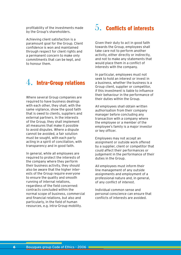profitability of the investments made by the Group's shareholders.

Achieving client satisfaction is a paramount goal for the Group. Client confidence is won and maintained through respect for client rights and a permanent concern to make only commitments that can be kept, and to honour them.

# $4.$  Intra-Group relations

Where several Group companies are required to have business dealings with each other, they shall, with the same vigilance, show the good faith that is owed to clients, suppliers and external partners. In the interests of the Group, they shall implement all measures that make it possible to avoid disputes. Where a dispute cannot be avoided, a fair solution must be sought, with each party acting in a spirit of conciliation, with transparency and in good faith.

In general, while all employees are required to protect the interests of the company where they perform their business activity, they should also be aware that the higher interests of the Group require everyone to ensure the quality and smooth running of internal relations, regardless of the field concerned: contracts concluded within the normal scope of business, commercial and financial relations, but also and particularly, in the field of human resources, e.g. intra-Group mobility.

## $5.$  Conflicts of interests

Given their duty to act in good faith towards the Group, employees shall take care not to perform another activity, either directly or indirectly, and not to make any statements that would place them in a conflict of interests with the company.

In particular, employees must not seek to hold an interest or invest in a business, whether the business is a Group client, supplier or competitor, if this investment is liable to influence their behaviour in the performance of their duties within the Group.

All employees shall obtain written authorisation from their company manager before concluding any transaction with a company where the employee or a member of the employee's family is a major investor or key officer.

Employees may not accept an assignment or outside work offered by a supplier, client or competitor that could affect their performances or judgement in the performance of their duties in the Group.

All employees must inform their line management of any outside assignments and employment of a professional nature and, in general, of any conflict of interest.

Individual common sense and personal conscience can ensure that conflicts of interests are avoided.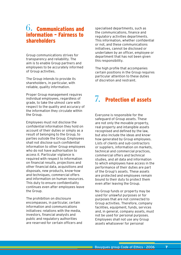### $6.$  Communications and information – Fairness to shareholders

Group communications strives for transparency and reliability. The aim is to enable Group partners and employees to be accurately informed of Group activities.

The Group intends to provide its shareholders, in particular, with reliable, quality information.

Proper Group management requires individual employees, regardless of grade, to take the utmost care with respect to the quality and accuracy of the information they circulate within the Group.

Employees must not disclose the confidential information they hold on account of their duties or simply as a result of belonging to the Group, to parties outside the Group. Employees shall not disclose such confidential information to other Group employees who do not have authorisation to access it. Particular vigilance is required with respect to information on financial results, projections and other financial data, acquisitions and disposals, new products, know-how and techniques, commercial offers and information on human resources. This duty to ensure confidentiality continues even after employees leave the Group.

The prohibition on disclosure encompasses, in particular, certain information and communications initiatives: relations with the media, investors, financial analysts and public and regulatory authorities are reserved for certain officers and

specialised departments, such as the communications, finance and regulatory activities departments. This information, whether confidential or not, and these communications initiatives, cannot be disclosed or undertaken by an officer, employee or department that has not been given this responsibility.

The high profile that accompanies certain positions in the Group requires particular attention to these duties of discretion and restraint.

# Protection of assets 7.

Everyone is responsible for the safeguard of Group assets. These are not only the movable property, real property and intangible assets recognised and defined by the law, but also include the ideas and knowhow generated by Group employees. Lists of clients and sub-contractors or suppliers, information on markets, technical and commercial practices, commercial offers and technical studies, and all data and information to which employees have access in the performance of their duties are part of the Group's assets. These assets are protected and employees remain bound to their duty to protect them even after leaving the Group.

No Group funds or property may be used for unlawful purposes or for purposes that are not connected to Group activities. Therefore, company facilities, equipment, funds, services and, in general, company assets, must not be used for personal purposes. Employees shall not use any Group assets whatsoever for personal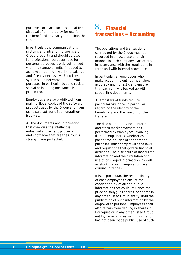purposes, or place such assets at the disposal of a third party for use for the benefit of any party other than the Group.

In particular, the communications systems and intranet networks are Group property and should be used for professional purposes. Use for personal purposes is only authorised within reasonable limits if needed to achieve an optimum work-life balance and if really necessary. Using these systems and networks for unlawful purposes, in particular to send racist, sexual or insulting messages, is prohibited.

Employees are also prohibited from making illegal copies of the software products used by the Group and from using said software in an unauthorised way.

All the documents and information that comprise the intellectual, industrial and artistic property and know-how that are the Group's strength, are protected.

## Financial 8.transactions – Accounting

The operations and transactions carried out by the Group must be recorded in an accurate and fair manner in each company's accounts, in accordance with the regulations in force and with internal procedures.

In particular, all employees who make accounting entries must show accuracy and honesty, and ensure that each entry is backed up with supporting documents.

All transfers of funds require particular vigilance, in particular regarding the identity of the beneficiary and the reason for the transfer.

The disclosure of financial information and stock market transactions performed by employees involving listed Group shares, whether as part of their duties or for personal purposes, must comply with the laws and regulations that govern financial activities. The disclosure of inaccurate information and the circulation and use of privileged information, as well as stock market manipulation, are criminal offences.

It is, in particular, the responsibility of each employee to ensure the confidentiality of all non-public information that could influence the price of Bouygues shares, or shares in any other listed Group entity, until the publication of such information by the empowered persons. Employees shall also refrain from dealing in shares in Bouygues or in any other listed Group entity, for as long as such information has not been made public. Use of such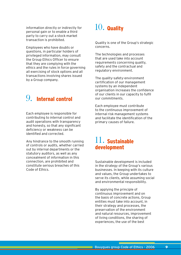information directly or indirectly for personal gain or to enable a third party to carry out a stock market transaction is prohibited.

Employees who have doubts or questions, in particular holders of privileged information, may consult the Group Ethics Officer to ensure that they are complying with the ethics and the rules in force governing all exercising of stock options and all transactions involving shares issued by a Group company.

# 9. Internal control

Each employee is responsible for contributing to internal control and audit operations with transparency and honesty, so that any significant deficiency or weakness can be identified and corrected.

Any hindrance to the smooth running of controls or audits, whether carried out by internal departments or the statutory auditors, as well as any concealment of information in this connection, are prohibited and constitute serious breaches of this Code of Ethics.

# $10.$  Quality

Quality is one of the Group's strategic concerns.

The technologies and processes that are used take into account requirements concerning quality, safety and the contractual and regulatory environment.

The quality-safety-environment certification of our management systems by an independent organisation increases the confidence of our clients in our capacity to fulfil our commitments.

Each employee must contribute to the continuous improvement of internal risk management systems and facilitate the identification of the primary causes of failure.

## 11. Sustainable development

Sustainable development is included in the strategy of the Group's various businesses. In keeping with its culture and values, the Group undertakes to serve its clients, while assuming social and environmental responsibility.

By applying the principle of continuous improvement and on the basis of concrete actions, Group entities must take into account, in their strategy and processes, the preservation of the environment and natural resources, improvement of living conditions, the sharing of experiences, the use of the best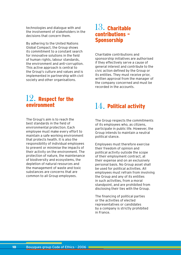technologies and dialogue with and the involvement of stakeholders in the decisions that concern them.

By adhering to the United Nations Global Compact, the Group shows its commitment to a constant search for innovative solutions in the field of human rights, labour standards, the environment and anti-corruption. This active approach is central to the Group's culture and values and is implemented in partnership with civil society and other organisations.

#### 13. Charitable contributions – Sponsorship

Charitable contributions and sponsorship initiatives are authorised if they effectively serve a cause of general interest and contribute to the civic action defined by the Group or its entities. They must receive prior, written approval from the manager of the company concerned and must be recorded in the accounts.

## 12. Respect for the **environment**

The Group's aim is to reach the best standards in the field of environmental protection. Each employee must make every effort to maintain a safe working environment that protects health. It is also the responsibility of individual employees to prevent or minimise the impacts of their activity on the environment. The protection of nature, the maintenance of biodiversity and ecosystems, the depletion of natural resources and the management of waste and toxic substances are concerns that are common to all Group employees.

# 14. Political activity

The Group respects the commitments of its employees who, as citizens, participate in public life. However, the Group intends to maintain a neutral political stance.

Employees must therefore exercise their freedom of opinion and political activity outside the scope of their employment contract, at their expense and on an exclusively personal basis. No Group asset shall be used for political activities. All employees must refrain from involving the Group and any of its entities in such activities, from a moral standpoint, and are prohibited from disclosing their ties with the Group.

The financing of political parties or the activities of elected representatives or candidates by a company is strictly prohibited in France.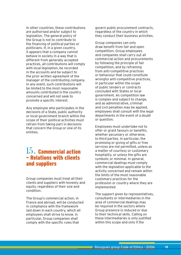In other countries, these contributions are authorised and/or subject to legislation. The general policy of the Group is not to contribute to the financing of political parties or politicians. If, in a given country, it appears that a company cannot behave in society in a way that is different from generally accepted practices, all contributions will comply with local legislation, be recorded in the accounts and be subject to the prior written agreement of the manager of the contributing company. In any event, such contributions will be limited to the most reasonable amounts contributed in the country concerned and will not seek to promote a specific interest.

Any employee who participates in the decisions of a State, public authority or local government branch within the scope of their political activities must refrain from taking part in decisions that concern the Group or one of its entities.

#### 15. Commercial action – Relations with clients and suppliers

Group companies must treat all their clients and suppliers with honesty and equity, regardless of their size and condition.

The Group's commercial action, in France and abroad, will be conducted in compliance with the framework laid down in each country, which all employees shall strive to know. In particular, Group companies shall comply with the specific rules that

govern public procurement contracts, regardless of the country in which they conduct their business activities.

Group companies can only draw benefit from fair and open competition. Group employees and companies shall carry out all commercial action and procurements by following the principle of fair competition, and by refraining from anti-competitive practices or behaviour that could constitute wrongful anti-competitive practices, in particular within the scope of public tenders or contracts concluded with States or local government. As competition law is complex and subject to change, and as administrative, criminal and civil penalties may be applied, employees shall consult with the legal departments in the event of a doubt or question.

Employees must undertake not to offer or grant favours or benefits, whether pecuniary or otherwise, to third parties. In particular, the promising or giving of gifts or free services are not permitted, unless as a matter of courtesy or customary hospitality, or unless the gifts are symbolic or minimal. In general, commercial dealings must comply with the legislation applicable to the activity concerned and remain within the limits of the most reasonable customary practices for the profession or country where they are implemented.

The support given by representatives, consultants or intermediaries in the area of commercial dealings may be required in the sectors where Group presence is reduced or due to their technical skills. Calling on these intermediaries is only justified within this scope and only if the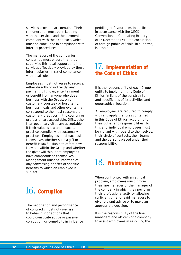services provided are genuine. Their remuneration must be in keeping with the services and the payment compliant with their contract, which must be concluded in compliance with internal procedures.

The managers of the companies concerned must ensure that they supervise this local support and the services effectively provided by these intermediaries, in strict compliance with local rules.

Employees must not agree to receive, either directly or indirectly, any payment, gift, loan, entertainment or benefit from anyone who does business with the Group; only customary courtesy or hospitality, business meals and other events that correspond to the most reasonable customary practices in the country or profession are acceptable. Gifts, other than pecuniary gifts, are acceptable if their value is low and if such a practice complies with customary practices. Employees must each ask themselves whether such a gift or benefit is lawful, liable to affect how they act within the Group and whether the giver will think that employees have compromised themselves. Management must be informed of any canvassing or offer of specific benefits to which an employee is subject.

# $16.$  Corruption

The negotiation and performance of contracts must not give rise to behaviour or actions that could constitute active or passive corruption, or complicity in influence peddling or favouritism. In particular, in accordance with the OECD Convention on Combating Bribery of 17 December 1997, the corruption of foreign public officials, in all forms, is prohibited.

## 17. Implementation of the Code of Ethics

It is the responsibility of each Group entity to implement this Code of Ethics, in light of the constraints and specificities of its activities and geographical location.

All employees are required to comply with and apply the rules contained in this Code of Ethics, according to their duties and responsibilities. To this end, individual employees must be vigilant with regard to themselves, their circle of contacts, their teams and the persons placed under their responsibility.

# 18. Whistleblowing

When confronted with an ethical problem, employees must inform their line manager or the manager of the company in which they perform their professional activity, allowing sufficient time for said managers to give relevant advice or to make an appropriate decision.

It is the responsibility of the line managers and officers of a company to assist employees in resolving the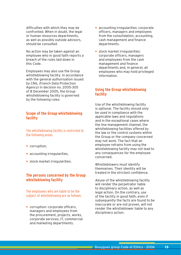difficulties with which they may be confronted. When in doubt, the legal or human resources departments, as well as possibly outside advisors, should be consulted.

No action may be taken against an employee who in good faith reports a breach of the rules laid down in this Code.

Employees may also use the Group whistleblowing facility. In accordance with the general authorisation issued by CNIL (French Data Protection Agency) in decision no. 2005-305 of 8 December 2005, the Group whistleblowing facility is governed by the following rules:

#### **Scope of the Group whistleblowing facility**

The whistleblowing facility is restricted to the following areas:

- **•** corruption,
- **•** accounting irregularities,
- **•** stock market irregularities.

#### **The persons concerned by the Group whistleblowing facility**

The employees who are liable to be the subject of whistleblowing are as follows:

**•** corruption: corporate officers, managers and employees from the procurement, projects, works, corporate services, IT, commercial and marketing departments.

- **•** accounting irregularities: corporate officers, managers and employees from the consolidation, accounting, cash management and finance departments.
- **•** stock market irregularities: corporate officers, managers and employees from the cash management and finance departments and, in general, all employees who may hold privileged information.

#### **Using the Group whistleblowing facility**

Use of the whistleblowing facility is optional. The facility should only be used in compliance with the applicable laws and regulations and in the exceptional cases where the line management channel, the whistleblowing facilities offered by the law or the control systems within the Group or the company concerned may not work. The fact that an employee refrains from using the whistleblowing facility may not lead to any consequences for the employee concerned.

Whistleblowers must identify themselves. Their identity will be treated in the strictest confidence.

Abuse of the whistleblowing facility will render the perpetrator liable to disciplinary action, as well as legal action. On the contrary, use of the facility in good faith, even if subsequently the facts are found to be inaccurate or are not proven, will not render the whistleblower liable to any disciplinary action.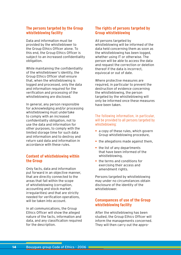#### **The persons targeted by the Group whistleblowing facility**

Data and information must be provided by the whistleblower to the Group Ethics Officer alone. To this end, the Group Ethics Officer is subject to an increased confidentiality obligation.

While maintaining the confidentiality of the whistleblower's identity, the Group Ethics Officer shall ensure that, when the whistleblowing is logged and processed, only the data and information required for the verification and processing of the whistleblowing are disclosed.

In general, any person responsible for acknowledging and/or processing whistleblowing must undertake to comply with an increased confidentiality obligation, not to use the data and information for other purposes, to comply with the limited storage time for such data and information and to destroy and return said data and information in accordance with these rules.

#### **Content of whistleblowing within the Group**

Only facts, data and information put forward in an objective manner, that are directly connected to the areas that fall within the scope of whistleblowing (corruption, accounting and stock market irregularities) and that are strictly needed for verification operations, will be taken into account.

In all communications, the Group Ethics Officer will show the alleged nature of the facts, information and data, and any classification required for the description.

#### **The rights of persons targeted by Group whistleblowing**

All persons targeted by whistleblowing will be informed of the data held concerning them as soon as the whistleblowing has been logged, whether using IT or otherwise. The person will be able to access the data and request the correction or deletion thereof if the data is incorrect, equivocal or out of date.

Where protective measures are required, in particular to prevent the destruction of evidence concerning the whistleblowing, the person targeted by the whistleblowing will only be informed once these measures have been taken.

#### The following information, in particular, will be provided to all persons targeted by whistleblowing:

- **•** a copy of these rules, which govern Group whistleblowing procedure,
- **•** the allegations made against them,
- **•** the list of any departments that have been informed of the whistleblowing,
- **•** the terms and conditions for exercising their access and amendment rights.

Persons targeted by whistleblowing may under no circumstances obtain disclosure of the identity of the whistleblower.

#### **Consequences of use of the Group whistleblowing facility**

After the whistleblowing has been studied, the Group Ethics Officer will inform the managements concerned. They will then carry out the appro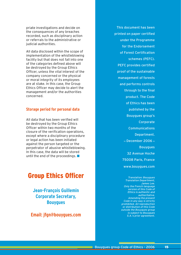priate investigations and decide on the consequences of any breaches recorded, such as disciplinary action or referrals to the administrative or judicial authorities.

All data disclosed within the scope of implementation of the whistleblowing facility but that does not fall into one of the categories defined above will be destroyed by the Group Ethics Officer, unless the vital interest of the company concerned or the physical or moral integrity of its employees are at stake. In this case, the Group Ethics Officer may decide to alert the management and/or the authorities concerned.

#### **Storage period for personal data**

All data that has been verified will be destroyed by the Group Ethics Officer within two months of the closure of the verification operations, except where a disciplinary procedure or legal action has been initiated against the person targeted or the perpetrator of abusive whistleblowing. In this case, the data will be stored until the end of the proceedings.  $\blacksquare$ 

## Group Ethics Officer

**Jean-François Guillemin Corporate Secretary, Bouygues**

**Email: jfgn@bouygues.com**

This document has been printed on paper certified under the Programme for the Endorsement of Forest Certification schemes (PEFC). PEFC provides certified proof of the sustainable management of forests and performs controls through to the final product. The Code of Ethics has been published by the Bouygues group's Corporate Communications Department. \_ December 2006 \_ Bouygues 32 Avenue Hoche 75008 Paris, France www.bouygues.com

> Translation: Bouygues Translation Department, James Lee. Only the French-language version of this Code of Ethics is authentic and authoritative. Amending the present Code in any way is strictly prohibited. All reproduction or distribution of this Code outside the Bouygues group is subject to Bouygues S.A.'s prior agreement.